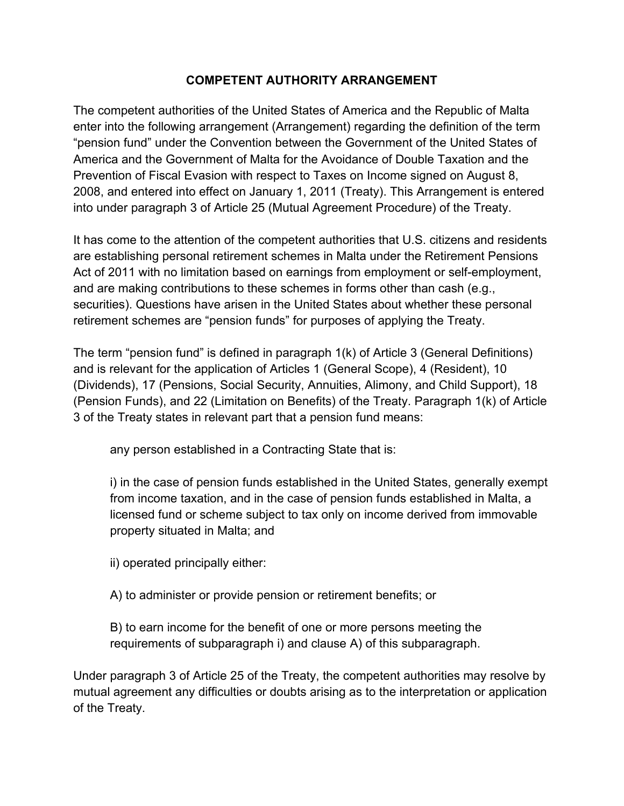## **COMPETENT AUTHORITY ARRANGEMENT**

The competent authorities of the United States of America and the Republic of Malta enter into the following arrangement (Arrangement) regarding the definition of the term "pension fund" under the Convention between the Government of the United States of America and the Government of Malta for the Avoidance of Double Taxation and the Prevention of Fiscal Evasion with respect to Taxes on Income signed on August 8, 2008, and entered into effect on January 1, 2011 (Treaty). This Arrangement is entered into under paragraph 3 of Article 25 (Mutual Agreement Procedure) of the Treaty.

It has come to the attention of the competent authorities that U.S. citizens and residents are establishing personal retirement schemes in Malta under the Retirement Pensions Act of 2011 with no limitation based on earnings from employment or self-employment, and are making contributions to these schemes in forms other than cash (e.g., securities). Questions have arisen in the United States about whether these personal retirement schemes are "pension funds" for purposes of applying the Treaty.

The term "pension fund" is defined in paragraph 1(k) of Article 3 (General Definitions) and is relevant for the application of Articles 1 (General Scope), 4 (Resident), 10 (Dividends), 17 (Pensions, Social Security, Annuities, Alimony, and Child Support), 18 (Pension Funds), and 22 (Limitation on Benefits) of the Treaty. Paragraph 1(k) of Article 3 of the Treaty states in relevant part that a pension fund means:

any person established in a Contracting State that is:

i) in the case of pension funds established in the United States, generally exempt from income taxation, and in the case of pension funds established in Malta, a licensed fund or scheme subject to tax only on income derived from immovable property situated in Malta; and

ii) operated principally either:

A) to administer or provide pension or retirement benefits; or

B) to earn income for the benefit of one or more persons meeting the requirements of subparagraph i) and clause A) of this subparagraph.

Under paragraph 3 of Article 25 of the Treaty, the competent authorities may resolve by mutual agreement any difficulties or doubts arising as to the interpretation or application of the Treaty.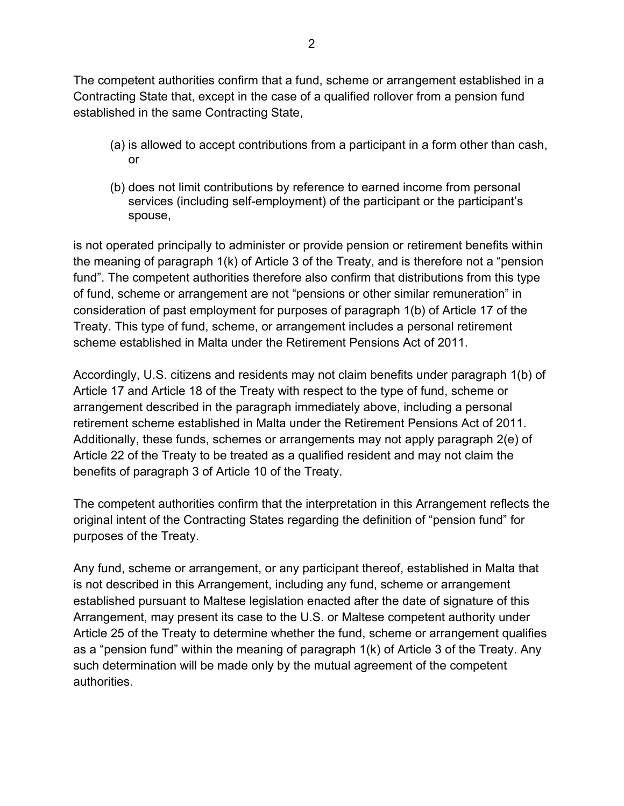The competent authorities confirm that a fund, scheme or arrangement established in a Contracting State that, except in the case of a qualified rollover from a pension fund established in the same Contracting State,

- (a) is allowed to accept contributions from a participant in a form other than cash, or
- (b) does not limit contributions by reference to earned income from personal services (including self-employment) of the participant or the participant's spouse,

is not operated principally to administer or provide pension or retirement benefits within the meaning of paragraph 1(k) of Article 3 of the Treaty, and is therefore not a "pension fund". The competent authorities therefore also confirm that distributions from this type of fund, scheme or arrangement are not "pensions or other similar remuneration" in consideration of past employment for purposes of paragraph 1(b) of Article 17 of the Treaty. This type of fund, scheme, or arrangement includes a personal retirement scheme established in Malta under the Retirement Pensions Act of 2011.

Accordingly, U.S. citizens and residents may not claim benefits under paragraph 1(b) of Article 17 and Article 18 of the Treaty with respect to the type of fund, scheme or arrangement described in the paragraph immediately above, including a personal retirement scheme established in Malta under the Retirement Pensions Act of 2011. Additionally, these funds, schemes or arrangements may not apply paragraph 2(e) of Article 22 of the Treaty to be treated as a qualified resident and may not claim the benefits of paragraph 3 of Article 10 of the Treaty.

The competent authorities confirm that the interpretation in this Arrangement reflects the original intent of the Contracting States regarding the definition of "pension fund" for purposes of the Treaty.

Any fund, scheme or arrangement, or any participant thereof, established in Malta that is not described in this Arrangement, including any fund, scheme or arrangement established pursuant to Maltese legislation enacted after the date of signature of this Arrangement, may present its case to the U.S. or Maltese competent authority under Article 25 of the Treaty to determine whether the fund, scheme or arrangement qualifies as a "pension fund" within the meaning of paragraph 1(k) of Article 3 of the Treaty. Any such determination will be made only by the mutual agreement of the competent authorities.